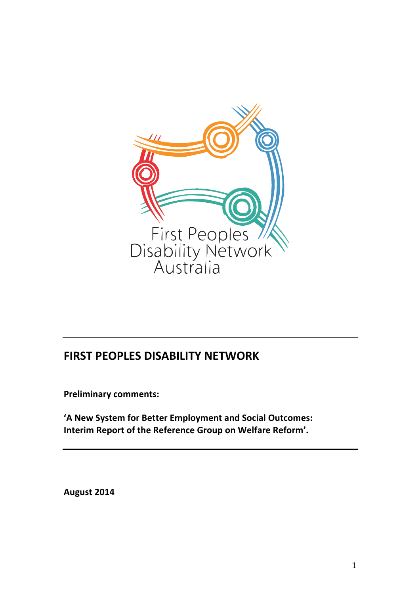

# **FIRST PEOPLES DISABILITY NETWORK**

**Preliminary comments:**

'A New System for Better Employment and Social Outcomes: Interim Report of the Reference Group on Welfare Reform'.

**August 2014**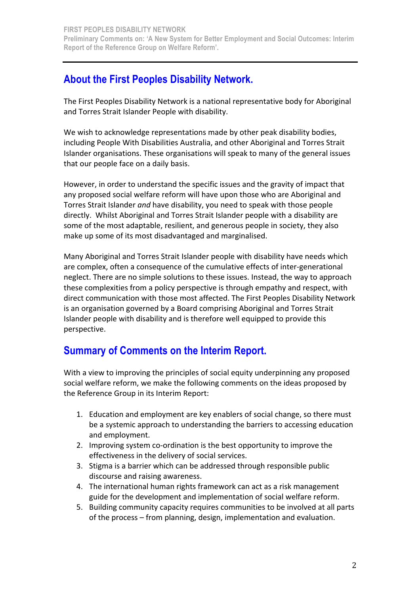# **About the First Peoples Disability Network.**

The First Peoples Disability Network is a national representative body for Aboriginal and Torres Strait Islander People with disability.

We wish to acknowledge representations made by other peak disability bodies, including People With Disabilities Australia, and other Aboriginal and Torres Strait Islander organisations. These organisations will speak to many of the general issues that our people face on a daily basis.

However, in order to understand the specific issues and the gravity of impact that any proposed social welfare reform will have upon those who are Aboriginal and Torres Strait Islander *and* have disability, you need to speak with those people directly. Whilst Aboriginal and Torres Strait Islander people with a disability are some of the most adaptable, resilient, and generous people in society, they also make up some of its most disadvantaged and marginalised.

Many Aboriginal and Torres Strait Islander people with disability have needs which are complex, often a consequence of the cumulative effects of inter-generational neglect. There are no simple solutions to these issues. Instead, the way to approach these complexities from a policy perspective is through empathy and respect, with direct communication with those most affected. The First Peoples Disability Network is an organisation governed by a Board comprising Aboriginal and Torres Strait Islander people with disability and is therefore well equipped to provide this perspective.

# **Summary of Comments on the Interim Report.**

With a view to improving the principles of social equity underpinning any proposed social welfare reform, we make the following comments on the ideas proposed by the Reference Group in its Interim Report:

- 1. Education and employment are key enablers of social change, so there must be a systemic approach to understanding the barriers to accessing education and employment.
- 2. Improving system co-ordination is the best opportunity to improve the effectiveness in the delivery of social services.
- 3. Stigma is a barrier which can be addressed through responsible public discourse and raising awareness.
- 4. The international human rights framework can act as a risk management guide for the development and implementation of social welfare reform.
- 5. Building community capacity requires communities to be involved at all parts of the process – from planning, design, implementation and evaluation.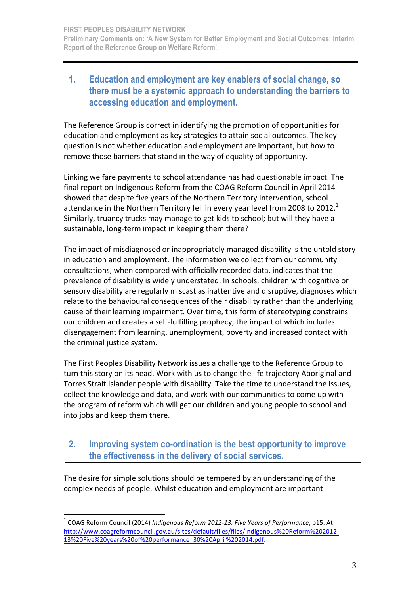### **1. Education and employment are key enablers of social change, so there must be a systemic approach to understanding the barriers to accessing education and employment.**

The Reference Group is correct in identifying the promotion of opportunities for education and employment as key strategies to attain social outcomes. The key question is not whether education and employment are important, but how to remove those barriers that stand in the way of equality of opportunity.

Linking welfare payments to school attendance has had questionable impact. The final report on Indigenous Reform from the COAG Reform Council in April 2014 showed that despite five vears of the Northern Territory Intervention, school attendance in the Northern Territory fell in every year level from 2008 to 2012.<sup>1</sup> Similarly, truancy trucks may manage to get kids to school; but will they have a sustainable, long-term impact in keeping them there?

The impact of misdiagnosed or inappropriately managed disability is the untold story in education and employment. The information we collect from our community consultations, when compared with officially recorded data, indicates that the prevalence of disability is widely understated. In schools, children with cognitive or sensory disability are regularly miscast as inattentive and disruptive, diagnoses which relate to the bahavioural consequences of their disability rather than the underlying cause of their learning impairment. Over time, this form of stereotyping constrains our children and creates a self-fulfilling prophecy, the impact of which includes disengagement from learning, unemployment, poverty and increased contact with the criminal justice system.

The First Peoples Disability Network issues a challenge to the Reference Group to turn this story on its head. Work with us to change the life trajectory Aboriginal and Torres Strait Islander people with disability. Take the time to understand the issues, collect the knowledge and data, and work with our communities to come up with the program of reform which will get our children and young people to school and into jobs and keep them there.

**2. Improving system co-ordination is the best opportunity to improve the effectiveness in the delivery of social services.** 

The desire for simple solutions should be tempered by an understanding of the complex needs of people. Whilst education and employment are important

 $1$  COAG Reform Council (2014) Indigenous Reform 2012-13: Five Years of Performance, p15. At http://www.coagreformcouncil.gov.au/sites/default/files/files/Indigenous%20Reform%202012- 13%20Five%20years%20of%20performance\_30%20April%202014.pdf.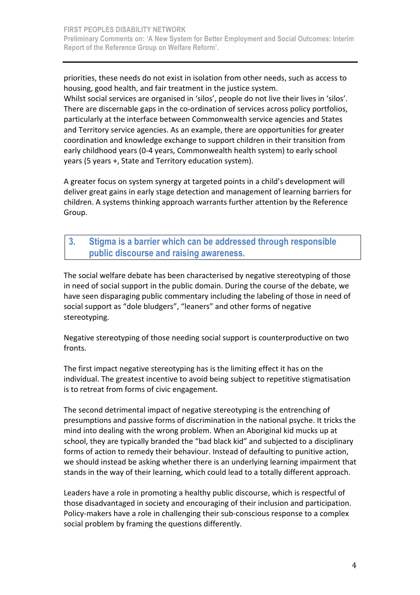priorities, these needs do not exist in isolation from other needs, such as access to housing, good health, and fair treatment in the justice system.

Whilst social services are organised in 'silos', people do not live their lives in 'silos'. There are discernable gaps in the co-ordination of services across policy portfolios, particularly at the interface between Commonwealth service agencies and States and Territory service agencies. As an example, there are opportunities for greater coordination and knowledge exchange to support children in their transition from early childhood years (0-4 years, Commonwealth health system) to early school years (5 years +, State and Territory education system).

A greater focus on system synergy at targeted points in a child's development will deliver great gains in early stage detection and management of learning barriers for children. A systems thinking approach warrants further attention by the Reference Group.

### **3. Stigma is a barrier which can be addressed through responsible public discourse and raising awareness.**

The social welfare debate has been characterised by negative stereotyping of those in need of social support in the public domain. During the course of the debate, we have seen disparaging public commentary including the labeling of those in need of social support as "dole bludgers", "leaners" and other forms of negative stereotyping. 

Negative stereotyping of those needing social support is counterproductive on two fronts.

The first impact negative stereotyping has is the limiting effect it has on the individual. The greatest incentive to avoid being subject to repetitive stigmatisation is to retreat from forms of civic engagement.

The second detrimental impact of negative stereotyping is the entrenching of presumptions and passive forms of discrimination in the national psyche. It tricks the mind into dealing with the wrong problem. When an Aboriginal kid mucks up at school, they are typically branded the "bad black kid" and subjected to a disciplinary forms of action to remedy their behaviour. Instead of defaulting to punitive action, we should instead be asking whether there is an underlying learning impairment that stands in the way of their learning, which could lead to a totally different approach.

Leaders have a role in promoting a healthy public discourse, which is respectful of those disadvantaged in society and encouraging of their inclusion and participation. Policy-makers have a role in challenging their sub-conscious response to a complex social problem by framing the questions differently.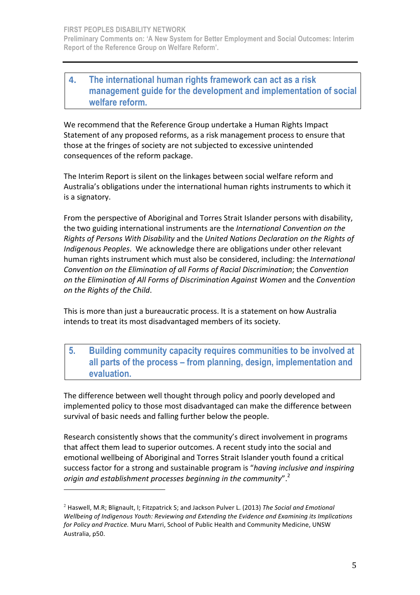### **4. The international human rights framework can act as a risk management guide for the development and implementation of social welfare reform.**

We recommend that the Reference Group undertake a Human Rights Impact Statement of any proposed reforms, as a risk management process to ensure that those at the fringes of society are not subjected to excessive unintended consequences of the reform package.

The Interim Report is silent on the linkages between social welfare reform and Australia's obligations under the international human rights instruments to which it is a signatory.

From the perspective of Aboriginal and Torres Strait Islander persons with disability, the two guiding international instruments are the *International Convention on the Rights of Persons With Disability* and the *United Nations Declaration on the Rights of Indigenous Peoples*. We acknowledge there are obligations under other relevant human rights instrument which must also be considered, including: the *International Convention on the Elimination of all Forms of Racial Discrimination*; the *Convention on the Elimination of All Forms of Discrimination Against Women and the Convention on the Rights of the Child*. 

This is more than just a bureaucratic process. It is a statement on how Australia intends to treat its most disadvantaged members of its society.

### **5. Building community capacity requires communities to be involved at all parts of the process – from planning, design, implementation and evaluation.**

The difference between well thought through policy and poorly developed and implemented policy to those most disadvantaged can make the difference between survival of basic needs and falling further below the people.

Research consistently shows that the community's direct involvement in programs that affect them lead to superior outcomes. A recent study into the social and emotional wellbeing of Aboriginal and Torres Strait Islander youth found a critical success factor for a strong and sustainable program is "*having inclusive and inspiring* origin and establishment processes beginning in the community".<sup>2</sup>

 

<sup>&</sup>lt;sup>2</sup> Haswell, M.R; Blignault, I; Fitzpatrick S; and Jackson Pulver L. (2013) The Social and Emotional Wellbeing of Indigenous Youth: Reviewing and Extending the Evidence and Examining its Implications for Policy and Practice. Muru Marri, School of Public Health and Community Medicine, UNSW Australia, p50.